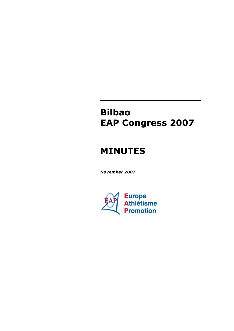# **Bilbao EAP Congress 2007**

# **MINUTES**

*November 2007*

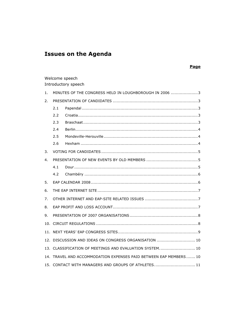# **Issues on the Agenda**

## **Page**

## Welcome speech Introductory speech

| 1. |                                                                   | MINUTES OF THE CONGRESS HELD IN LOUGHBOROUGH IN 2006 3 |  |  |  |  |
|----|-------------------------------------------------------------------|--------------------------------------------------------|--|--|--|--|
| 2. |                                                                   |                                                        |  |  |  |  |
|    | 2.1                                                               |                                                        |  |  |  |  |
|    | 2.2                                                               |                                                        |  |  |  |  |
|    | 2.3                                                               |                                                        |  |  |  |  |
|    | 2.4                                                               |                                                        |  |  |  |  |
|    | 2.5                                                               |                                                        |  |  |  |  |
|    | 2.6                                                               |                                                        |  |  |  |  |
| 3. |                                                                   |                                                        |  |  |  |  |
| 4. |                                                                   |                                                        |  |  |  |  |
|    | 4.1                                                               |                                                        |  |  |  |  |
|    | 4.2                                                               |                                                        |  |  |  |  |
| 5. |                                                                   |                                                        |  |  |  |  |
| 6. |                                                                   |                                                        |  |  |  |  |
| 7. |                                                                   |                                                        |  |  |  |  |
| 8. |                                                                   |                                                        |  |  |  |  |
| 9. |                                                                   |                                                        |  |  |  |  |
|    |                                                                   |                                                        |  |  |  |  |
|    |                                                                   |                                                        |  |  |  |  |
|    | 12. DISCUSSION AND IDEAS ON CONGRESS ORGANISATION  10             |                                                        |  |  |  |  |
|    | 13. CLASSIFICATION OF MEETINGS AND EVALUATION SYSTEM 10           |                                                        |  |  |  |  |
|    | 14. TRAVEL AND ACCOMMODATION EXPENSES PAID BETWEEN EAP MEMBERS 10 |                                                        |  |  |  |  |
|    |                                                                   | 15. CONTACT WITH MANAGERS AND GROUPS OF ATHLETES 11    |  |  |  |  |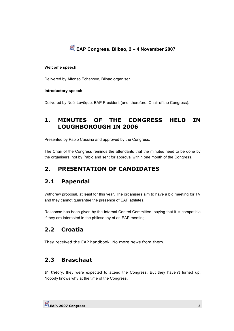

### **Welcome speech**

Delivered by Alfonso Echanove, Bilbao organiser.

## **Introductory speech**

Delivered by Noël Levêque, EAP President (and, therefore, Chair of the Congress).

# **1. MINUTES OF THE CONGRESS HELD IN LOUGHBOROUGH IN 2006**

Presented by Pablo Cassina and approved by the Congress.

The Chair of the Congress reminds the attendants that the minutes need to be done by the organisers, not by Pablo and sent for approval within one month of the Congress.

# **2. PRESENTATION OF CANDIDATES**

# **2.1 Papendal**

Withdrew proposal, at least for this year. The organisers aim to have a big meeting for TV and they cannot guarantee the presence of EAP athletes.

Response has been given by the Internal Control Committee saying that it is compatible if they are interested in the philosophy of an EAP meeting.

# **2.2 Croatia**

They received the EAP handbook. No more news from them.

# **2.3 Braschaat**

In theory, they were expected to attend the Congress. But they haven't turned up. Nobody knows why at the time of the Congress.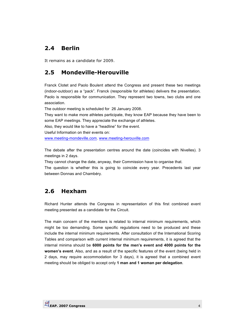# **2.4 Berlin**

It remains as a candidate for 2009.

# **2.5 Mondeville-Herouville**

Franck Clotet and Paolo Boulent attend the Congress and present these two meetings (indoor-outdoor) as a "pack". Franck (responsible for athletes) delivers the presentation. Paolo is responsible for communication. They represent two towns, two clubs and one association.

The outdoor meeting is scheduled for 26 January 2008.

They want to make more athletes participate, they know EAP because they have been to some EAP meetings. They appreciate the exchange of athletes.

Also, they would like to have a "headline" for the event.

Useful Information on their events on:

www.meeting-mondeville.com. www.meeting-herouville.com

The debate after the presentation centres around the date (coincides with Nivelles). 3 meetings in 2 days.

They cannot change the date, anyway, their Commission have to organise that.

The question is whether this is going to coincide every year. Precedents last year between Donnas and Chambéry.

# **2.6 Hexham**

Richard Hunter attends the Congress in representation of this first combined event meeting presented as a candidate for the Circuit.

The main concern of the members is related to internal minimum requirements, which might be too demanding. Some specific regulations need to be produced and these include the internal minimum requirements. After consultation of the International Scoring Tables and comparison with current internal minimum requirements, it is agreed that the internal minima should be **6000 points for the men's event and 4000 points for the women's event**. Also, and as a result of the specific features of the event (being held in 2 days, may require accommodation for 3 days), it is agreed that a combined event meeting should be obliged to accept only **1 man and 1 woman per delegation**.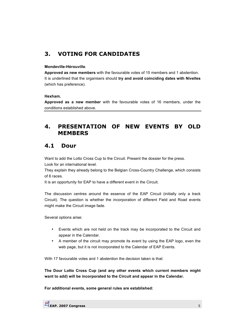# **3. VOTING FOR CANDIDATES**

## **Mondeville-Hérouville**.

**Approved as new members** with the favourable votes of 15 members and 1 abstention. It is underlined that the organisers should **try and avoid coinciding dates with Nivelles** (which has preference).

## **Hexham.**

**Approved as a new member** with the favourable votes of 16 members, under the conditions established above.

# **4. PRESENTATION OF NEW EVENTS BY OLD MEMBERS**

## **4.1 Dour**

Want to add the Lotto Cross Cup to the Circuit. Present the dossier for the press.

Look for an international level.

They explain they already belong to the Belgian Cross-Country Challenge, which consists of 6 races.

It is an opportunity for EAP to have a different event in the Circuit.

The discussion centres around the essence of the EAP Circuit (initially only a track Circuit). The question is whether the incorporation of different Field and Road events might make the Circuit image fade.

Several options arise:

- Events which are not held on the track may be incorporated to the Circuit and appear in the Calendar.
- A member of the circuit may promote its event by using the EAP logo, even the web page, but it is not incorporated to the Calendar of EAP Events.

With 17 favourable votes and 1 abstention the decision taken is that:

**The Dour Lotto Cross Cup (and any other events which current members might want to add) will be incorporated to the Circuit and appear in the Calendar.** 

**For additional events, some general rules are established:**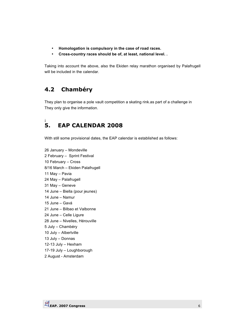- **Homologation is compulsory in the case of road races.**
- **Cross-country races should be of, at least, national level. .**

Taking into account the above, also the Ekiden relay marathon organised by Palafrugell will be included in the calendar.

# **4.2 Chambéry**

They plan to organise a pole vault competition a skating rink.as part of a challenge in They only give the information.

## ¡ **5. EAP CALENDAR 2008**

With still some provisional dates, the EAP calendar is established as follows:

26 January – Mondeville 2 February – Sprint Festival 10 February – Cross 8/16 March – Ekiden Palafrugell 11 May – Pavia 24 May – Palafrugell 31 May – Geneve 14 June – Biella (pour jeunes) 14 June – Namur 15 June – Gavá 21 June – Bilbao et Valbonne 24 June – Celle Ligure 28 June – Nivelles, Hérouville 5 July – Chambéry 10 July – Albertville 13 July – Donnas 12-13 July – Hexham 17-19 July – Loughborough

2 August - Amsterdam

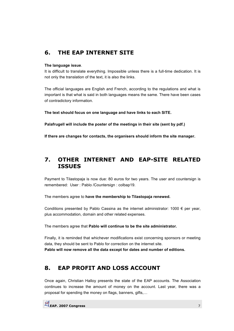# **6. THE EAP INTERNET SITE**

### **The language issue**.

It is difficult to translate everything. Impossible unless there is a full-time dedication. It is not only the translation of the text, it is also the links.

The official languages are English and French, according to the regulations and what is important is that what is said in both languages means the same. There have been cases of contradictory information.

**The text should focus on one language and have links to each SITE.** 

**Palafrugell will include the poster of the meetings in their site (sent by pdf.)** 

**If there are changes for contacts, the organisers should inform the site manager.** 

# **7. OTHER INTERNET AND EAP-SITE RELATED ISSUES**

Payment to Tilastopaja is now due: 80 euros for two years. The user and countersign is remembered: User : Pablo /Countersign : colbap19.

The members agree to **have the membership to Tilastopaja renewed.** 

Conditions presented by Pablo Cassina as the internet administrator:  $1000 \in$  per year, plus accommodation, domain and other related expenses.

The members agree that **Pablo will continue to be the site administrator.** 

Finally, it is reminded that whichever modifications exist concerning sponsors or meeting data, they should be sent to Pablo for correction on the internet site. **Pablo will now remove all the data except for dates and number of editions.** 

# **8. EAP PROFIT AND LOSS ACCOUNT**

Once again, Christian Halloy presents the state of the EAP accounts. The Association continues to increase the amount of money on the account. Last year, there was a proposal for spending the money on flags, banners, gifts,…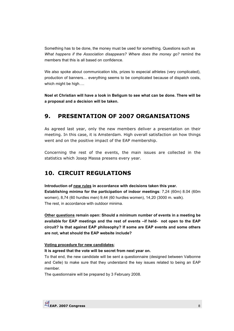Something has to be done, the money must be used for something. Questions such as *What happens if the Association disappears? Where does the money go?* remind the members that this is all based on confidence.

We also spoke about communication kits, prizes to especial athletes (very complicated), production of banners… everything seems to be complicated because of dispatch costs, which might be high….

**Noel et Christian will have a look in Beligum to see what can be done. There will be a proposal and a decision will be taken.** 

# **9. PRESENTATION OF 2007 ORGANISATIONS**

As agreed last year, only the new members deliver a presentation on their meeting. In this case, it is Amsterdam. High overall satisfaction on how things went and on the positive impact of the EAP membership.

Concerning the rest of the events, the main issues are collected in the statistics which Josep Massa presens every year.

# **10. CIRCUIT REGULATIONS**

**Introduction of new rules in accordance with decisions taken this year. Establishing minima for the participation of indoor meetings**: 7,24 (60m) 8.04 (60m women), 8,74 (60 hurdles men) 9,44 (60 hurdles women), 14,20 (3000 m. walk). The rest, in accordance with outdoor minima.

**Other questions remain open: Should a minimum number of events in a meeting be available for EAP meetings and the rest of events –if held- not open to the EAP circuit? Is that against EAP philosophy? If some are EAP events and some others are not, what should the EAP website include?**

#### **Voting procedure for new candidates**;

**It is agreed that the vote will be secret from next year on.** 

To that end, the new candidate will be sent a questionnaire (designed between Valbonne and Celle) to make sure that they understand the key issues related to being an EAP member.

The questionnaire will be prepared by 3 February 2008.

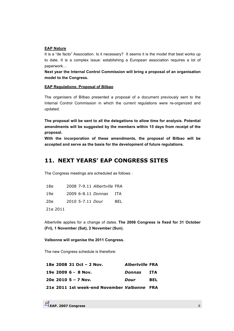#### **EAP Nature**

It is a "de facto" Association. Is it necessary? It seems it is the model that best works up to date. It is a complex issue: establishing a European association requires a lot of paperwork…

**Next year the Internal Control Commission will bring a proposal of an organisation model to the Congress.** 

#### **EAP Regulations: Proposal of Bilbao**

The organisers of Bilbao presented a proposal of a document previously sent to the Internal Control Commission in which the current regulations were re-organized and updated.

**The proposal will be sent to all the delegations to allow time for analysis. Potential amendments will be suggested by the members within 15 days from receipt of the proposal.** 

**With the incorporation of these amendments, the proposal of Bilbao will be accepted and serve as the basis for the development of future regulations.** 

## **11. NEXT YEARS' EAP CONGRESS SITES**

The Congress meetings are scheduled as follows :

| 18e      |                  | 2008 7-9.11 Albertville FRA |       |
|----------|------------------|-----------------------------|-------|
| 19e      |                  | 2009 6-8.11 Donnas          | - ITA |
| 20e      | 2010 5-7.11 Dour |                             | BEL   |
| 21e 2011 |                  |                             |       |

Albertville applies for a change of dates. **The 2008 Congress is fixed for 31 October (Fri), 1 November (Sat), 2 November (Sun).** 

**Valbonne will organise the 2011 Congress.** 

The new Congress schedule is therefore:

|  | 18e 2008 31 Oct - 2 Nov.                    | <i><b>Albertville FRA</b></i> |            |
|--|---------------------------------------------|-------------------------------|------------|
|  | 19e 2009 6 - 8 Nov.                         | Donnas                        | ITA        |
|  | 20e 2010 $5 - 7$ Nov.                       | Dour                          | <b>BEL</b> |
|  | 21e 2011 1st week-end November Valbonne FRA |                               |            |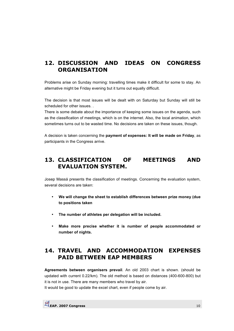# **12. DISCUSSION AND IDEAS ON CONGRESS ORGANISATION**

Problems arise on Sunday morning: travelling times make it difficult for some to stay. An alternative might be Friday evening but it turns out equally difficult.

The decision is that most issues will be dealt with on Saturday but Sunday will still be scheduled for other issues. .

There is some debate about the importance of keeping some issues on the agenda, such as the classification of meetings, which is on the internet. Also, the local animation, which sometimes turns out to be wasted time. No decisions are taken on these issues, though.

A decision is taken concerning the **payment of expenses: It will be made on Friday**, as participants in the Congress arrive.

## **13. CLASSIFICATION OF MEETINGS AND EVALUATION SYSTEM.**

Josep Massá presents the classification of meetings. Concerning the evaluation system, several decisions are taken:

- **We will change the sheet to establish differences between prize money (due to positions taken**
- **The number of athletes per delegation will be included.**
- **Make more precise whether it is number of people accommodated or number of nights.**

# **14. TRAVEL AND ACCOMMODATION EXPENSES PAID BETWEEN EAP MEMBERS**

**Agreements between organisers prevail**. An old 2003 chart is shown. (should be updated with current 0.22/km). The old method is based on distances (400-600-800) but it is not in use. There are many members who travel by air.

It would be good to update the excel chart, even if people come by air.